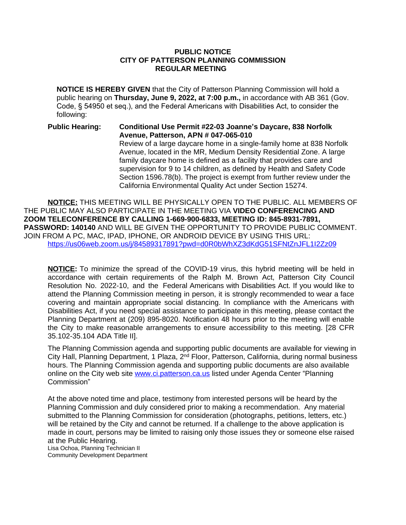## **PUBLIC NOTICE CITY OF PATTERSON PLANNING COMMISSION REGULAR MEETING**

**NOTICE IS HEREBY GIVEN** that the City of Patterson Planning Commission will hold a public hearing on **Thursday, June 9, 2022, at 7:00 p.m.,** in accordance with AB 361 (Gov. Code, § 54950 et seq.), and the Federal Americans with Disabilities Act, to consider the following:

**Public Hearing: Conditional Use Permit #22-03 Joanne's Daycare, 838 Norfolk Avenue, Patterson, APN # 047-065-010** Review of a large daycare home in a single-family home at 838 Norfolk Avenue, located in the MR, Medium Density Residential Zone. A large family daycare home is defined as a facility that provides care and supervision for 9 to 14 children, as defined by Health and Safety Code Section 1596.78(b). The project is exempt from further review under the California Environmental Quality Act under Section 15274.

**NOTICE:** THIS MEETING WILL BE PHYSICALLY OPEN TO THE PUBLIC. ALL MEMBERS OF THE PUBLIC MAY ALSO PARTICIPATE IN THE MEETING VIA **VIDEO CONFERENCING AND ZOOM TELECONFERENCE BY CALLING 1-669-900-6833, MEETING ID: 845-8931-7891, PASSWORD: 140140** AND WILL BE GIVEN THE OPPORTUNITY TO PROVIDE PUBLIC COMMENT. JOIN FROM A PC, MAC, IPAD, IPHONE, OR ANDROID DEVICE BY USING THIS URL: <https://us06web.zoom.us/j/84589317891?pwd=d0R0bWhXZ3dKdG51SFNtZnJFL1I2Zz09>

**NOTICE:** To minimize the spread of the COVID-19 virus, this hybrid meeting will be held in accordance with certain requirements of the Ralph M. Brown Act, Patterson City Council Resolution No. 2022-10, and the Federal Americans with Disabilities Act. If you would like to attend the Planning Commission meeting in person, it is strongly recommended to wear a face covering and maintain appropriate social distancing. In compliance with the Americans with Disabilities Act, if you need special assistance to participate in this meeting, please contact the Planning Department at (209) 895-8020. Notification 48 hours prior to the meeting will enable the City to make reasonable arrangements to ensure accessibility to this meeting. [28 CFR 35.102-35.104 ADA Title II].

The Planning Commission agenda and supporting public documents are available for viewing in City Hall, Planning Department, 1 Plaza, 2<sup>nd</sup> Floor, Patterson, California, during normal business hours. The Planning Commission agenda and supporting public documents are also available online on the City web site [www.ci.patterson.ca.us](http://www.ci.patterson.ca.us) listed under Agenda Center "Planning Commission"

At the above noted time and place, testimony from interested persons will be heard by the Planning Commission and duly considered prior to making a recommendation. Any material submitted to the Planning Commission for consideration (photographs, petitions, letters, etc.) will be retained by the City and cannot be returned. If a challenge to the above application is made in court, persons may be limited to raising only those issues they or someone else raised at the Public Hearing.

Lisa Ochoa, Planning Technician II Community Development Department